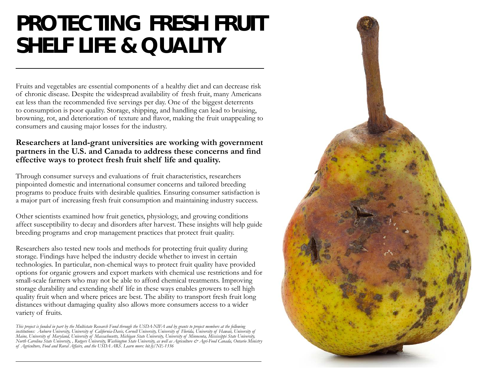## **PROTECTING FRESH FRUIT SHELF LIFE & QUALITY**

Fruits and vegetables are essential components of a healthy diet and can decrease risk of chronic disease. Despite the widespread availability of fresh fruit, many Americans eat less than the recommended five servings per day. One of the biggest deterrents to consumption is poor quality. Storage, shipping, and handling can lead to bruising, browning, rot, and deterioration of texture and flavor, making the fruit unappealing to consumers and causing major losses for the industry.

## **Researchers at land-grant universities are working with government partners in the U.S. and Canada to address these concerns and find effective ways to protect fresh fruit shelf life and quality.**

Through consumer surveys and evaluations of fruit characteristics, researchers pinpointed domestic and international consumer concerns and tailored breeding programs to produce fruits with desirable qualities. Ensuring consumer satisfaction is a major part of increasing fresh fruit consumption and maintaining industry success.

Other scientists examined how fruit genetics, physiology, and growing conditions affect susceptibility to decay and disorders after harvest. These insights will help guide breeding programs and crop management practices that protect fruit quality.

Researchers also tested new tools and methods for protecting fruit quality during storage. Findings have helped the industry decide whether to invest in certain technologies. In particular, non-chemical ways to protect fruit quality have provided options for organic growers and export markets with chemical use restrictions and for small-scale farmers who may not be able to afford chemical treatments. Improving storage durability and extending shelf life in these ways enables growers to sell high quality fruit when and where prices are best. The ability to transport fresh fruit long distances without damaging quality also allows more consumers access to a wider variety of fruits.

*This project is funded in part by the Multistate Research Fund through the USDA-NIFA and by grants to project members at the following institutions: Auburn University, University of California-Davis, Cornell University, University of Florida, University of Hawaii, University of Maine, University of Maryland, University of Massachusetts, Michigan State University, University of Minnesota, Mississippi State University, North Carolina State University, , Rutgers University, Washington State University, as well as Agriculture & Agri-Food Canada, Ontario Ministry of Agriculture, Food and Rural Affairs, and the USDA ARS. Learn more: bit.ly/NE-1336*